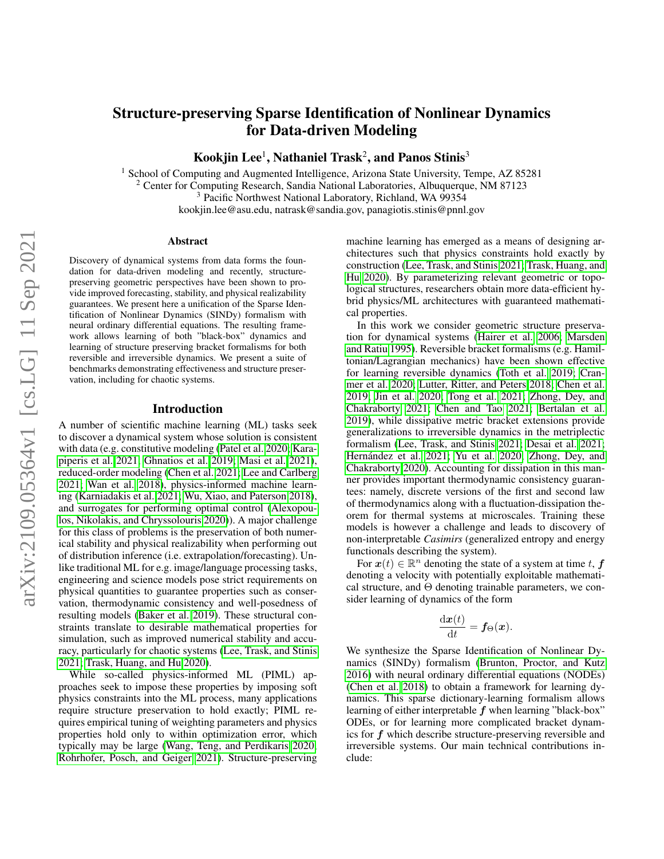# Structure-preserving Sparse Identification of Nonlinear Dynamics for Data-driven Modeling

Kookjin Lee $^1$ , Nathaniel Trask $^2$ , and Panos Stinis $^3$ 

<sup>1</sup> School of Computing and Augmented Intelligence, Arizona State University, Tempe, AZ 85281 <sup>2</sup> Center for Computing Research, Sandia National Laboratories, Albuquerque, NM 87123 <sup>3</sup> Pacific Northwest National Laboratory, Richland, WA 99354 kookjin.lee@asu.edu, natrask@sandia.gov, panagiotis.stinis@pnnl.gov

#### Abstract

Discovery of dynamical systems from data forms the foundation for data-driven modeling and recently, structurepreserving geometric perspectives have been shown to provide improved forecasting, stability, and physical realizability guarantees. We present here a unification of the Sparse Identification of Nonlinear Dynamics (SINDy) formalism with neural ordinary differential equations. The resulting framework allows learning of both "black-box" dynamics and learning of structure preserving bracket formalisms for both reversible and irreversible dynamics. We present a suite of benchmarks demonstrating effectiveness and structure preservation, including for chaotic systems.

#### Introduction

A number of scientific machine learning (ML) tasks seek to discover a dynamical system whose solution is consistent with data (e.g. constitutive modeling [\(Patel et al. 2020;](#page-7-0) [Kara](#page-7-1)[piperis et al. 2021;](#page-7-1) [Ghnatios et al. 2019;](#page-7-2) [Masi et al. 2021\)](#page-7-3), reduced-order modeling [\(Chen et al. 2021;](#page-7-4) [Lee and Carlberg](#page-7-5) [2021;](#page-7-5) [Wan et al. 2018\)](#page-8-0), physics-informed machine learning [\(Karniadakis et al. 2021;](#page-7-6) [Wu, Xiao, and Paterson 2018\)](#page-8-1), and surrogates for performing optimal control [\(Alexopou](#page-6-0)[los, Nikolakis, and Chryssolouris 2020\)](#page-6-0)). A major challenge for this class of problems is the preservation of both numerical stability and physical realizability when performing out of distribution inference (i.e. extrapolation/forecasting). Unlike traditional ML for e.g. image/language processing tasks, engineering and science models pose strict requirements on physical quantities to guarantee properties such as conservation, thermodynamic consistency and well-posedness of resulting models [\(Baker et al. 2019\)](#page-6-1). These structural constraints translate to desirable mathematical properties for simulation, such as improved numerical stability and accuracy, particularly for chaotic systems [\(Lee, Trask, and Stinis](#page-7-7) [2021;](#page-7-7) [Trask, Huang, and Hu 2020\)](#page-8-2).

While so-called physics-informed ML (PIML) approaches seek to impose these properties by imposing soft physics constraints into the ML process, many applications require structure preservation to hold exactly; PIML requires empirical tuning of weighting parameters and physics properties hold only to within optimization error, which typically may be large [\(Wang, Teng, and Perdikaris 2020;](#page-8-3) [Rohrhofer, Posch, and Geiger 2021\)](#page-8-4). Structure-preserving machine learning has emerged as a means of designing architectures such that physics constraints hold exactly by construction [\(Lee, Trask, and Stinis 2021;](#page-7-7) [Trask, Huang, and](#page-8-2) [Hu 2020\)](#page-8-2). By parameterizing relevant geometric or topological structures, researchers obtain more data-efficient hybrid physics/ML architectures with guaranteed mathematical properties.

In this work we consider geometric structure preservation for dynamical systems [\(Hairer et al. 2006;](#page-7-8) [Marsden](#page-7-9) [and Ratiu 1995\)](#page-7-9). Reversible bracket formalisms (e.g. Hamiltonian/Lagrangian mechanics) have been shown effective for learning reversible dynamics [\(Toth et al. 2019;](#page-8-5) [Cran](#page-7-10)[mer et al. 2020;](#page-7-10) [Lutter, Ritter, and Peters 2018;](#page-7-11) [Chen et al.](#page-7-12) [2019;](#page-7-12) [Jin et al. 2020;](#page-7-13) [Tong et al. 2021;](#page-8-6) [Zhong, Dey, and](#page-8-7) [Chakraborty 2021;](#page-8-7) [Chen and Tao 2021;](#page-7-14) [Bertalan et al.](#page-7-15) [2019\)](#page-7-15), while dissipative metric bracket extensions provide generalizations to irreversible dynamics in the metriplectic formalism [\(Lee, Trask, and Stinis 2021;](#page-7-7) [Desai et al. 2021;](#page-7-16) Hernández et al. 2021; [Yu et al. 2020;](#page-8-8) [Zhong, Dey, and](#page-8-9) [Chakraborty 2020\)](#page-8-9). Accounting for dissipation in this manner provides important thermodynamic consistency guarantees: namely, discrete versions of the first and second law of thermodynamics along with a fluctuation-dissipation theorem for thermal systems at microscales. Training these models is however a challenge and leads to discovery of non-interpretable *Casimirs* (generalized entropy and energy functionals describing the system).

For  $x(t) \in \mathbb{R}^n$  denoting the state of a system at time t, f denoting a velocity with potentially exploitable mathematical structure, and  $\Theta$  denoting trainable parameters, we consider learning of dynamics of the form

$$
\frac{\mathrm{d}\boldsymbol{x}(t)}{\mathrm{d}t} = \boldsymbol{f}_{\Theta}(\boldsymbol{x}).
$$

We synthesize the Sparse Identification of Nonlinear Dynamics (SINDy) formalism [\(Brunton, Proctor, and Kutz](#page-7-18) [2016\)](#page-7-18) with neural ordinary differential equations (NODEs) [\(Chen et al. 2018\)](#page-7-19) to obtain a framework for learning dynamics. This sparse dictionary-learning formalism allows learning of either interpretable  $f$  when learning "black-box" ODEs, or for learning more complicated bracket dynamics for f which describe structure-preserving reversible and irreversible systems. Our main technical contributions include: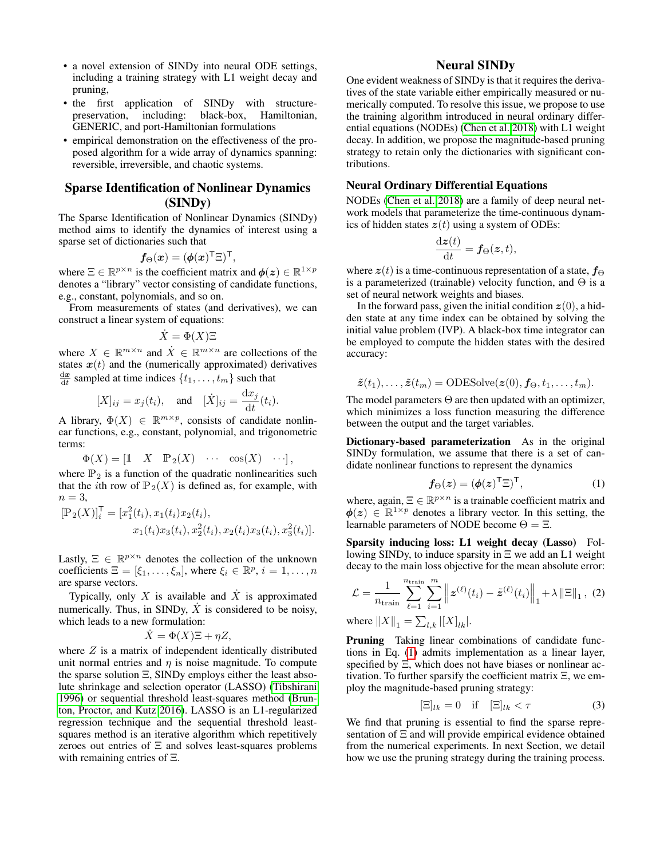- a novel extension of SINDy into neural ODE settings, including a training strategy with L1 weight decay and pruning,
- the first application of SINDy with structurepreservation, including: black-box, Hamiltonian, GENERIC, and port-Hamiltonian formulations
- empirical demonstration on the effectiveness of the proposed algorithm for a wide array of dynamics spanning: reversible, irreversible, and chaotic systems.

# Sparse Identification of Nonlinear Dynamics (SINDy)

The Sparse Identification of Nonlinear Dynamics (SINDy) method aims to identify the dynamics of interest using a sparse set of dictionaries such that

$$
\boldsymbol{f}_{\Theta}(\boldsymbol{x}) = (\boldsymbol{\phi}(\boldsymbol{x})^{\sf T} \Xi)^{\sf T},
$$

where  $\Xi \in \mathbb{R}^{p \times n}$  is the coefficient matrix and  $\phi(z) \in \mathbb{R}^{1 \times p}$ denotes a "library" vector consisting of candidate functions, e.g., constant, polynomials, and so on.

From measurements of states (and derivatives), we can construct a linear system of equations:

$$
\dot{X} = \Phi(X)\Xi
$$

where  $X \in \mathbb{R}^{m \times n}$  and  $\dot{X} \in \mathbb{R}^{m \times n}$  are collections of the states  $x(t)$  and the (numerically approximated) derivatives  $\frac{d\boldsymbol{x}}{dt}$  sampled at time indices  $\{t_1, \ldots, t_m\}$  such that

$$
[X]_{ij} = x_j(t_i), \quad \text{and} \quad [\dot{X}]_{ij} = \frac{\mathrm{d}x_j}{\mathrm{d}t}(t_i).
$$

A library,  $\Phi(X) \in \mathbb{R}^{m \times p}$ , consists of candidate nonlinear functions, e.g., constant, polynomial, and trigonometric terms:

$$
\Phi(X) = \begin{bmatrix} 1 & X & \mathbb{P}_2(X) & \cdots & \cos(X) & \cdots \end{bmatrix},
$$

where  $P_2$  is a function of the quadratic nonlinearities such that the *i*th row of  $\mathbb{P}_2(X)$  is defined as, for example, with  $n=3$ ,

$$
[\mathbb{P}_2(X)]_i^{\mathsf{T}} = [x_1^2(t_i), x_1(t_i)x_2(t_i),x_1(t_i)x_3(t_i), x_2^2(t_i), x_2(t_i)x_3(t_i), x_3^2(t_i)].
$$

Lastly,  $\Xi \in \mathbb{R}^{p \times n}$  denotes the collection of the unknown coefficients  $\Xi = [\xi_1, \dots, \xi_n]$ , where  $\xi_i \in \mathbb{R}^p$ ,  $i = 1, \dots, n$ are sparse vectors.

Typically, only X is available and  $\dot{X}$  is approximated numerically. Thus, in SINDy,  $\dot{X}$  is considered to be noisy, which leads to a new formulation:

$$
\dot{X} = \Phi(X)\Xi + \eta Z,
$$

where  $Z$  is a matrix of independent identically distributed unit normal entries and  $\eta$  is noise magnitude. To compute the sparse solution Ξ, SINDy employs either the least absolute shrinkage and selection operator (LASSO) [\(Tibshirani](#page-8-10) [1996\)](#page-8-10) or sequential threshold least-squares method [\(Brun](#page-7-18)[ton, Proctor, and Kutz 2016\)](#page-7-18). LASSO is an L1-regularized regression technique and the sequential threshold leastsquares method is an iterative algorithm which repetitively zeroes out entries of Ξ and solves least-squares problems with remaining entries of Ξ.

## Neural SINDy

One evident weakness of SINDy is that it requires the derivatives of the state variable either empirically measured or numerically computed. To resolve this issue, we propose to use the training algorithm introduced in neural ordinary differential equations (NODEs) [\(Chen et al. 2018\)](#page-7-19) with L1 weight decay. In addition, we propose the magnitude-based pruning strategy to retain only the dictionaries with significant contributions.

## Neural Ordinary Differential Equations

NODEs [\(Chen et al. 2018\)](#page-7-19) are a family of deep neural network models that parameterize the time-continuous dynamics of hidden states  $z(t)$  using a system of ODEs:

$$
\frac{\mathrm{d}\boldsymbol{z}(t)}{\mathrm{d}t} = \boldsymbol{f}_{\Theta}(\boldsymbol{z},t),
$$

where  $z(t)$  is a time-continuous representation of a state,  $f_{\Theta}$ is a parameterized (trainable) velocity function, and  $\Theta$  is a set of neural network weights and biases.

In the forward pass, given the initial condition  $z(0)$ , a hidden state at any time index can be obtained by solving the initial value problem (IVP). A black-box time integrator can be employed to compute the hidden states with the desired accuracy:

$$
\tilde{\mathbf{z}}(t_1),\ldots,\tilde{\mathbf{z}}(t_m)=\text{ODESolve}(\mathbf{z}(0),\mathbf{f}_{\Theta},t_1,\ldots,t_m).
$$

The model parameters  $\Theta$  are then updated with an optimizer, which minimizes a loss function measuring the difference between the output and the target variables.

Dictionary-based parameterization As in the original SINDy formulation, we assume that there is a set of candidate nonlinear functions to represent the dynamics

<span id="page-1-1"></span><span id="page-1-0"></span>
$$
f_{\Theta}(z) = (\phi(z)^{\mathsf{T}} \Xi)^{\mathsf{T}}, \tag{1}
$$

where, again,  $\Xi \in \mathbb{R}^{p \times n}$  is a trainable coefficient matrix and  $\phi(z) \in \mathbb{R}^{1 \times p}$  denotes a library vector. In this setting, the learnable parameters of NODE become  $\Theta = \Xi$ .

Sparsity inducing loss: L1 weight decay (Lasso) Following SINDy, to induce sparsity in Ξ we add an L1 weight decay to the main loss objective for the mean absolute error:

$$
\mathcal{L} = \frac{1}{n_{\text{train}}} \sum_{\ell=1}^{n_{\text{train}}} \sum_{i=1}^{m} \left\| \boldsymbol{z}^{(\ell)}(t_i) - \tilde{\boldsymbol{z}}^{(\ell)}(t_i) \right\|_1 + \lambda \left\| \boldsymbol{\Xi} \right\|_1, (2)
$$

where  $||X||_1 = \sum_{l,k} |[X]_{lk}|.$ 

Pruning Taking linear combinations of candidate functions in Eq. [\(1\)](#page-1-0) admits implementation as a linear layer, specified by Ξ, which does not have biases or nonlinear activation. To further sparsify the coefficient matrix  $\Xi$ , we employ the magnitude-based pruning strategy:

<span id="page-1-2"></span>
$$
[\Xi]_{lk} = 0 \quad \text{if} \quad [\Xi]_{lk} < \tau \tag{3}
$$

We find that pruning is essential to find the sparse representation of Ξ and will provide empirical evidence obtained from the numerical experiments. In next Section, we detail how we use the pruning strategy during the training process.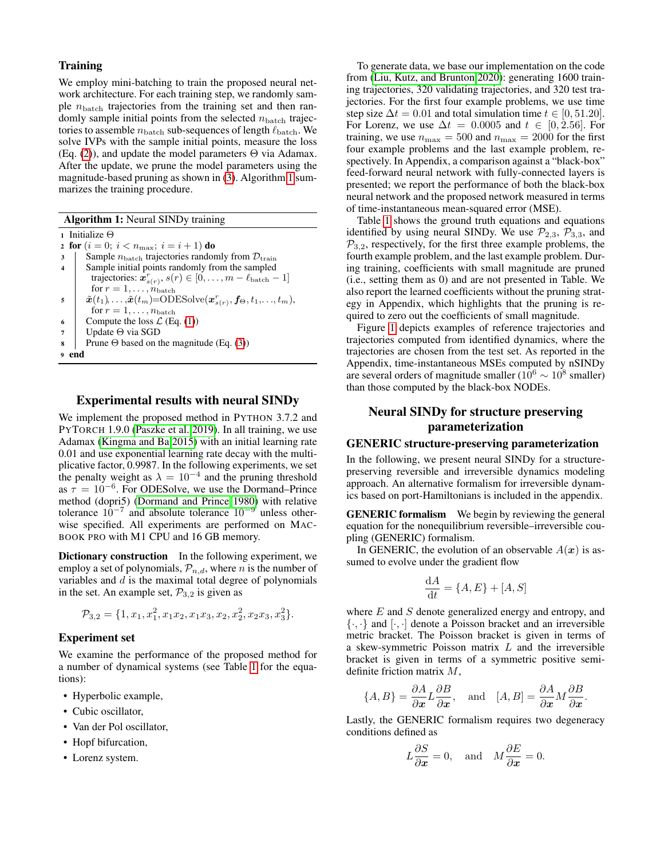## **Training**

We employ mini-batching to train the proposed neural network architecture. For each training step, we randomly sample  $n_{\text{batch}}$  trajectories from the training set and then randomly sample initial points from the selected  $n_{\text{batch}}$  trajectories to assemble  $n_{\text{batch}}$  sub-sequences of length  $\ell_{\text{batch}}$ . We solve IVPs with the sample initial points, measure the loss (Eq. [\(2\)](#page-1-1)), and update the model parameters  $\Theta$  via Adamax. After the update, we prune the model parameters using the magnitude-based pruning as shown in [\(3\)](#page-1-2). Algorithm [1](#page-2-0) summarizes the training procedure.

<span id="page-2-0"></span><sup>1</sup> Initialize Θ 2 for  $(i = 0; i < n_{\text{max}}; i = i + 1)$  do  $\mathbf{3}$  Sample  $n_{\text{batch}}$  trajectories randomly from  $\mathcal{D}_{\text{train}}$ 4 Sample initial points randomly from the sampled trajectories:  $\boldsymbol{x}_{s(r)}^r$ ,  $s(r) \in [0, \ldots, m - \ell_{\text{batch}} - 1]$ for  $r=1,\ldots,n_{\mathrm{batch}}$  $\begin{array}{l} \mathbf{s}\quad |\quad \ \ \tilde{\boldsymbol{x}}(t_1),\ldots,\!\hat{\boldsymbol{x}}(t_m)\!\!=\!\!\mathrm{ODESolve}(\boldsymbol{x}^r_{s(r)},\boldsymbol{f_\Theta},t_1,\!\ldots\!,t_m), \end{array}$ for  $r = 1, \ldots, n_{\text{batch}}$ 6 Compute the loss  $\mathcal{L}$  (Eq. [\(1\)](#page-1-0)) <sup>7</sup> Update Θ via SGD 8 Prune  $\Theta$  based on the magnitude (Eq. [\(3\)](#page-1-2)) <sup>9</sup> end

## Experimental results with neural SINDy

We implement the proposed method in PYTHON 3.7.2 and PYTORCH 1.9.0 [\(Paszke et al. 2019\)](#page-7-20). In all training, we use Adamax [\(Kingma and Ba 2015\)](#page-7-21) with an initial learning rate 0.01 and use exponential learning rate decay with the multiplicative factor, 0.9987. In the following experiments, we set the penalty weight as  $\lambda = 10^{-4}$  and the pruning threshold as  $\tau = 10^{-6}$ . For ODESolve, we use the Dormand–Prince method (dopri5) [\(Dormand and Prince 1980\)](#page-7-22) with relative tolerance  $10^{-7}$  and absolute tolerance  $10^{-9}$  unless otherwise specified. All experiments are performed on MAC-BOOK PRO with M1 CPU and 16 GB memory.

Dictionary construction In the following experiment, we employ a set of polynomials,  $\mathcal{P}_{n,d}$ , where n is the number of variables and  $d$  is the maximal total degree of polynomials in the set. An example set,  $P_{3,2}$  is given as

$$
\mathcal{P}_{3,2} = \{1, x_1, x_1^2, x_1x_2, x_1x_3, x_2, x_2^2, x_2x_3, x_3^2\}.
$$

## Experiment set

We examine the performance of the proposed method for a number of dynamical systems (see Table [1](#page-3-0) for the equations):

- Hyperbolic example,
- Cubic oscillator,
- Van der Pol oscillator,
- Hopf bifurcation,
- Lorenz system.

To generate data, we base our implementation on the code from [\(Liu, Kutz, and Brunton 2020\)](#page-7-23): generating 1600 training trajectories, 320 validating trajectories, and 320 test trajectories. For the first four example problems, we use time step size  $\Delta t = 0.01$  and total simulation time  $t \in [0, 51.20]$ . For Lorenz, we use  $\Delta t = 0.0005$  and  $t \in [0, 2.56]$ . For training, we use  $n_{\text{max}} = 500$  and  $n_{\text{max}} = 2000$  for the first four example problems and the last example problem, respectively. In Appendix, a comparison against a "black-box" feed-forward neural network with fully-connected layers is presented; we report the performance of both the black-box neural network and the proposed network measured in terms of time-instantaneous mean-squared error (MSE).

Table [1](#page-3-0) shows the ground truth equations and equations identified by using neural SINDy. We use  $\mathcal{P}_{2,3}$ ,  $\mathcal{P}_{3,3}$ , and  $\mathcal{P}_{3,2}$ , respectively, for the first three example problems, the fourth example problem, and the last example problem. During training, coefficients with small magnitude are pruned (i.e., setting them as 0) and are not presented in Table. We also report the learned coefficients without the pruning strategy in Appendix, which highlights that the pruning is required to zero out the coefficients of small magnitude.

Figure [1](#page-3-1) depicts examples of reference trajectories and trajectories computed from identified dynamics, where the trajectories are chosen from the test set. As reported in the Appendix, time-instantaneous MSEs computed by nSINDy are several orders of magnitude smaller ( $10^6 \sim 10^8$  smaller) than those computed by the black-box NODEs.

# Neural SINDy for structure preserving parameterization

#### GENERIC structure-preserving parameterization

In the following, we present neural SINDy for a structurepreserving reversible and irreversible dynamics modeling approach. An alternative formalism for irreversible dynamics based on port-Hamiltonians is included in the appendix.

**GENERIC formalism** We begin by reviewing the general equation for the nonequilibrium reversible–irreversible coupling (GENERIC) formalism.

In GENERIC, the evolution of an observable  $A(x)$  is assumed to evolve under the gradient flow

$$
\frac{\mathrm{d}A}{\mathrm{d}t} = \{A, E\} + [A, S]
$$

where  $E$  and  $S$  denote generalized energy and entropy, and  $\{\cdot,\cdot\}$  and  $[\cdot,\cdot]$  denote a Poisson bracket and an irreversible metric bracket. The Poisson bracket is given in terms of a skew-symmetric Poisson matrix  $L$  and the irreversible bracket is given in terms of a symmetric positive semidefinite friction matrix M,

$$
\{A, B\} = \frac{\partial A}{\partial x} L \frac{\partial B}{\partial x}, \text{ and } [A, B] = \frac{\partial A}{\partial x} M \frac{\partial B}{\partial x}.
$$

Lastly, the GENERIC formalism requires two degeneracy conditions defined as

$$
L\frac{\partial S}{\partial x} = 0
$$
, and  $M\frac{\partial E}{\partial x} = 0$ .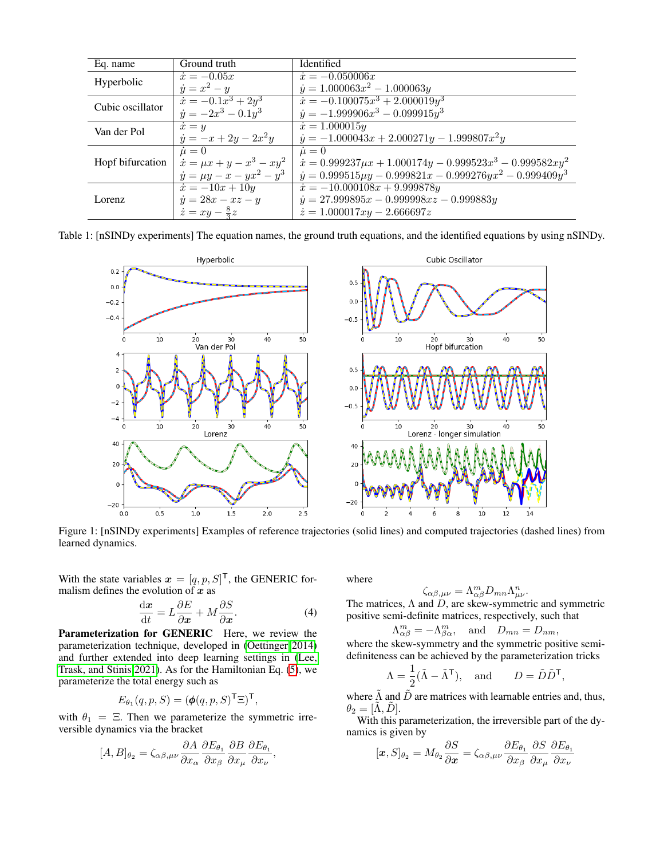<span id="page-3-0"></span>

| Eq. name         | Ground truth                       | Identified                                                              |
|------------------|------------------------------------|-------------------------------------------------------------------------|
| Hyperbolic       | $\dot{x} = -0.05x$                 | $\dot{x} = -0.050006x$                                                  |
|                  | $\dot{y} = x^2 - y$                | $\dot{y} = 1.000063x^2 - 1.000063y$                                     |
| Cubic oscillator | $\dot{x} = -0.1x^3 + 2y^3$         | $\dot{x} = -0.100075x^3 + 2.000019y^3$                                  |
|                  | $\dot{y} = -2x^3 - 0.1y^3$         | $\dot{y} = -1.999906x^3 - 0.099915y^3$                                  |
| Van der Pol      | $\dot{x} = y$                      | $\dot{x} = 1.000015y$                                                   |
|                  | $\dot{y} = -x + 2y - 2x^2y$        | $\dot{y} = -1.000043x + 2.000271y - 1.999807x^2y$                       |
| Hopf bifurcation | $\dot{\mu}=0$                      | $\dot{\mu}=0$                                                           |
|                  | $\dot{x} = \mu x + y - x^3 - xy^2$ | $\dot{x} = 0.999237 \mu x + 1.000174 y - 0.999523 x^3 - 0.999582 x y^2$ |
|                  | $\dot{y} = \mu y - x - yx^2 - y^3$ | $\dot{y} = 0.999515 \mu y - 0.999821 x - 0.999276 y x^2 - 0.999409 y^3$ |
| Lorenz           | $\dot{x} = -10x + 10y$             | $\dot{x} = -10.000108x + 9.999878y$                                     |
|                  | $\dot{y} = 28x - xz - y$           | $\dot{y} = 27.999895x - 0.999998xz - 0.999883y$                         |
|                  | $\dot{z} = xy - \frac{8}{3}z$      | $\dot{z} = 1.000017xy - 2.666697z$                                      |

<span id="page-3-1"></span>Table 1: [nSINDy experiments] The equation names, the ground truth equations, and the identified equations by using nSINDy.



Figure 1: [nSINDy experiments] Examples of reference trajectories (solid lines) and computed trajectories (dashed lines) from learned dynamics.

With the state variables  $\mathbf{x} = [q, p, S]^{\mathsf{T}}$ , the GENERIC formalism defines the evolution of  $x$  as

$$
\frac{\mathrm{d}\boldsymbol{x}}{\mathrm{d}t} = L\frac{\partial E}{\partial \boldsymbol{x}} + M\frac{\partial S}{\partial \boldsymbol{x}}.\tag{4}
$$

Parameterization for GENERIC Here, we review the parameterization technique, developed in [\(Oettinger 2014\)](#page-7-24) and further extended into deep learning settings in [\(Lee,](#page-7-7) [Trask, and Stinis 2021\)](#page-7-7). As for the Hamiltonian Eq. [\(5\)](#page-5-0), we parameterize the total energy such as

$$
E_{\theta_1}(q, p, S) = (\phi(q, p, S)^{\mathsf{T}} \Xi)^{\mathsf{T}},
$$

with  $\theta_1 = \Xi$ . Then we parameterize the symmetric irreversible dynamics via the bracket

$$
[A, B]_{\theta_2} = \zeta_{\alpha\beta,\mu\nu} \frac{\partial A}{\partial x_\alpha} \frac{\partial E_{\theta_1}}{\partial x_\beta} \frac{\partial B}{\partial x_\mu} \frac{\partial E_{\theta_1}}{\partial x_\nu},
$$

where

$$
\zeta_{\alpha\beta,\mu\nu} = \Lambda^m_{\alpha\beta} D_{mn} \Lambda^n_{\mu\nu}.
$$

<span id="page-3-2"></span>The matrices,  $\Lambda$  and  $D$ , are skew-symmetric and symmetric positive semi-definite matrices, respectively, such that

$$
\Lambda_{\alpha\beta}^m = -\Lambda_{\beta\alpha}^m, \text{ and } D_{mn} = D_{nm},
$$

where the skew-symmetry and the symmetric positive semidefiniteness can be achieved by the parameterization tricks

$$
\Lambda = \frac{1}{2}(\tilde{\Lambda} - \tilde{\Lambda}^{\mathsf{T}}), \text{ and } D = \tilde{D}\tilde{D}^{\mathsf{T}},
$$

where  $\tilde{\Lambda}$  and  $\tilde{D}$  are matrices with learnable entries and, thus,  $\theta_2 = [\Lambda, \ddot{D}].$ 

With this parameterization, the irreversible part of the dynamics is given by

$$
[\boldsymbol{x},S]_{\theta_2} = M_{\theta_2} \frac{\partial S}{\partial \boldsymbol{x}} = \zeta_{\alpha\beta,\mu\nu} \frac{\partial E_{\theta_1}}{\partial x_\beta} \frac{\partial S}{\partial x_\mu} \frac{\partial E_{\theta_1}}{\partial x_\nu}
$$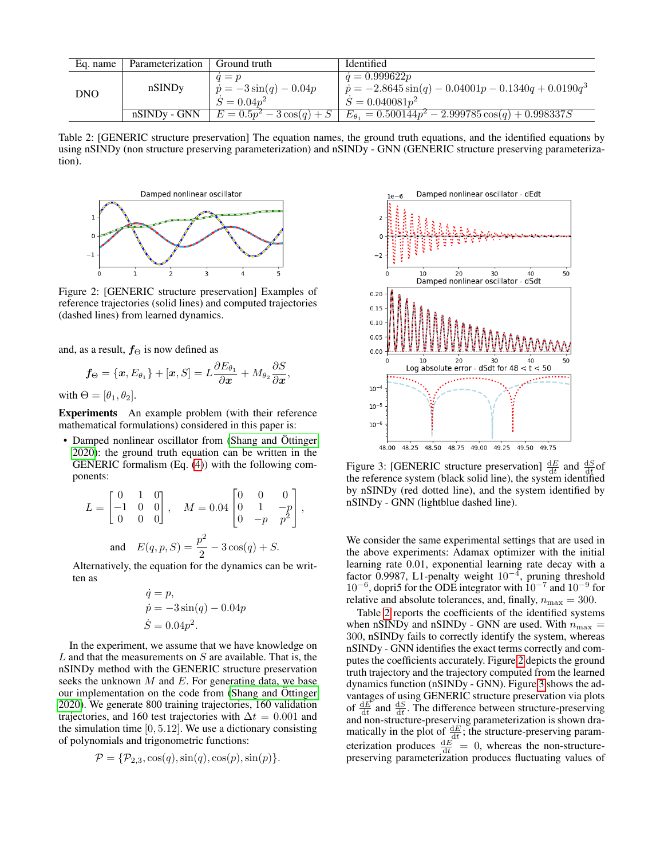<span id="page-4-0"></span>

| Eq. name   | Parameterization | Ground truth                                                | Identified                                                                                                         |
|------------|------------------|-------------------------------------------------------------|--------------------------------------------------------------------------------------------------------------------|
| <b>DNO</b> | nSINDy           | $q = p$<br>$ \dot{p} = -3\sin(q) - 0.04p $<br>$S = 0.04p^2$ | $\dot{q} = 0.999622p$<br>$\dot{p} = -2.8645 \sin(q) - 0.04001p - 0.1340q + 0.0190q^{3}$<br>$\dot{S} = 0.040081p^2$ |
|            |                  | nSINDy - GNN $E = 0.5p^2 - 3\cos(q) + S$                    | $E_{\theta_1} = 0.500144p^2 - 2.999785\cos(q) + 0.998337S$                                                         |

Table 2: [GENERIC structure preservation] The equation names, the ground truth equations, and the identified equations by using nSINDy (non structure preserving parameterization) and nSINDy - GNN (GENERIC structure preserving parameterization).

,

<span id="page-4-1"></span>

Figure 2: [GENERIC structure preservation] Examples of reference trajectories (solid lines) and computed trajectories (dashed lines) from learned dynamics.

and, as a result,  $f_{\Theta}$  is now defined as

$$
f_{\Theta} = \{x, E_{\theta_1}\} + [x, S] = L \frac{\partial E_{\theta_1}}{\partial x} + M_{\theta_2} \frac{\partial S}{\partial x}
$$

with  $\Theta = [\theta_1, \theta_2]$ .

Experiments An example problem (with their reference mathematical formulations) considered in this paper is:

• Damped nonlinear oscillator from [\(Shang and](#page-8-11) Öttinger [2020\)](#page-8-11): the ground truth equation can be written in the GENERIC formalism (Eq. [\(4\)](#page-3-2)) with the following components:

$$
L = \begin{bmatrix} 0 & 1 & 0 \\ -1 & 0 & 0 \\ 0 & 0 & 0 \end{bmatrix}, \quad M = 0.04 \begin{bmatrix} 0 & 0 & 0 \\ 0 & 1 & -p \\ 0 & -p & p^2 \end{bmatrix},
$$
  
and 
$$
E(q, p, S) = \frac{p^2}{2} - 3\cos(q) + S.
$$

Alternatively, the equation for the dynamics can be written as

$$
\dot{q} = p,
$$
  
\n $\dot{p} = -3\sin(q) - 0.04p$   
\n $\dot{S} = 0.04p^2.$ 

In the experiment, we assume that we have knowledge on  $L$  and that the measurements on  $S$  are available. That is, the nSINDy method with the GENERIC structure preservation seeks the unknown  $M$  and  $E$ . For generating data, we base our implementation on the code from [\(Shang and](#page-8-11) Öttinger [2020\)](#page-8-11). We generate 800 training trajectories, 160 validation trajectories, and 160 test trajectories with  $\Delta t = 0.001$  and the simulation time  $[0, 5.12]$ . We use a dictionary consisting of polynomials and trigonometric functions:

$$
\mathcal{P} = {\mathcal{P}_{2,3}, \cos(q), \sin(q), \cos(p), \sin(p)}.
$$

<span id="page-4-2"></span>

Figure 3: [GENERIC structure preservation]  $\frac{dE}{dt}$  and  $\frac{dS}{dt}$  of the reference system (black solid line), the system identified by nSINDy (red dotted line), and the system identified by nSINDy - GNN (lightblue dashed line).

We consider the same experimental settings that are used in the above experiments: Adamax optimizer with the initial learning rate 0.01, exponential learning rate decay with a factor 0.9987, L1-penalty weight  $10^{-4}$ , pruning threshold 10<sup>−</sup><sup>6</sup> , dopri5 for the ODE integrator with 10<sup>−</sup><sup>7</sup> and 10<sup>−</sup><sup>9</sup> for relative and absolute tolerances, and, finally,  $n_{\text{max}} = 300$ .

Table [2](#page-4-0) reports the coefficients of the identified systems when nSINDy and nSINDy - GNN are used. With  $n_{\text{max}} =$ 300, nSINDy fails to correctly identify the system, whereas nSINDy - GNN identifies the exact terms correctly and computes the coefficients accurately. Figure [2](#page-4-1) depicts the ground truth trajectory and the trajectory computed from the learned dynamics function (nSINDy - GNN). Figure [3](#page-4-2) shows the advantages of using GENERIC structure preservation via plots of  $\frac{dE}{dt}$  and  $\frac{dS}{dt}$ . The difference between structure-preserving  $\frac{d}{dt}$  and  $\frac{d}{dt}$ . The untertainties between structure-preserving and non-structure-preserving parameterization is shown dramatically in the plot of  $\frac{dE}{dt}$ ; the structure-preserving parameterization produces  $\frac{dE}{dt} = 0$ , whereas the non-structurepreserving parameterization produces fluctuating values of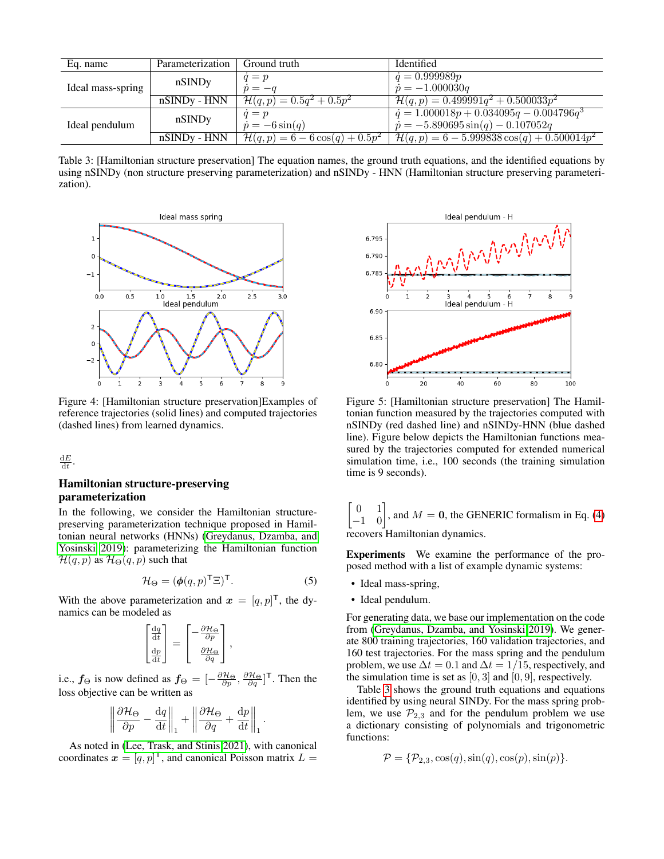<span id="page-5-1"></span>

| Eq. name          | Parameterization | Ground truth                                | Identified                                              |
|-------------------|------------------|---------------------------------------------|---------------------------------------------------------|
| Ideal mass-spring | nSINDy           | $q=p$                                       | $\dot{q} = 0.999989p$                                   |
|                   |                  | $\dot{v} = -a$                              | $\dot{p} = -1.000030q$                                  |
|                   | $nSINDy-HNN$     | $\mathcal{H}(q,p) = 0.5q^2 + 0.5p^2$        | $\mathcal{H}(q,p) = 0.499991q^2 + 0.500033p^2$          |
| Ideal pendulum    | nSINDy           | $q=p$                                       | $\dot{q} = 1.000018p + 0.034095q - 0.004796q^{3}$       |
|                   |                  | $\dot{p} = -6\sin(q)$                       | $\dot{p} = -5.890695 \sin(q) - 0.107052q$               |
|                   | $nSINDy - HNN$   | $\mathcal{H}(q,p) = 6 - 6 \cos(q) + 0.5p^2$ | $\mathcal{H}(q,p) = 6 - 5.999838 \cos(q) + 0.500014p^2$ |

Table 3: [Hamiltonian structure preservation] The equation names, the ground truth equations, and the identified equations by using nSINDy (non structure preserving parameterization) and nSINDy - HNN (Hamiltonian structure preserving parameterization).

<span id="page-5-2"></span>

Figure 4: [Hamiltonian structure preservation]Examples of reference trajectories (solid lines) and computed trajectories (dashed lines) from learned dynamics.

 $\frac{\mathrm{d}E}{\mathrm{d}t}$ .

## Hamiltonian structure-preserving parameterization

In the following, we consider the Hamiltonian structurepreserving parameterization technique proposed in Hamiltonian neural networks (HNNs) [\(Greydanus, Dzamba, and](#page-7-25) [Yosinski 2019\)](#page-7-25): parameterizing the Hamiltonian function  $\mathcal{H}(q,p)$  as  $\mathcal{H}_{\Theta}(q,p)$  such that

$$
\mathcal{H}_{\Theta} = (\phi(q, p)^{\mathsf{T}} \Xi)^{\mathsf{T}}.
$$
 (5)

.

With the above parameterization and  $\mathbf{x} = [q, p]^{\mathsf{T}}$ , the dynamics can be modeled as

$$
\begin{bmatrix} \frac{\mathrm{d}q}{\mathrm{d}t} \\ \frac{\mathrm{d}p}{\mathrm{d}t} \end{bmatrix} = \begin{bmatrix} -\frac{\partial \mathcal{H}_{\Theta}}{\partial p} \\ \frac{\partial \mathcal{H}_{\Theta}}{\partial q} \end{bmatrix},
$$

i.e.,  $f_{\Theta}$  is now defined as  $f_{\Theta} = [-\frac{\partial \mathcal{H}_{\Theta}}{\partial p}, \frac{\partial \mathcal{H}_{\Theta}}{\partial q}]^{\top}$ . Then the loss objective can be written as

$$
\left\|\frac{\partial \mathcal{H}_{\Theta}}{\partial p} - \frac{\mathrm{d}q}{\mathrm{d}t}\right\|_{1} + \left\|\frac{\partial \mathcal{H}_{\Theta}}{\partial q} + \frac{\mathrm{d}p}{\mathrm{d}t}\right\|_{1}
$$

As noted in [\(Lee, Trask, and Stinis 2021\)](#page-7-7), with canonical coordinates  $\boldsymbol{x} = [q, p]^{\mathsf{T}}$ , and canonical Poisson matrix  $L =$ 

<span id="page-5-3"></span>

Figure 5: [Hamiltonian structure preservation] The Hamiltonian function measured by the trajectories computed with nSINDy (red dashed line) and nSINDy-HNN (blue dashed line). Figure below depicts the Hamiltonian functions measured by the trajectories computed for extended numerical simulation time, i.e., 100 seconds (the training simulation time is 9 seconds).

$$
\begin{bmatrix} 0 & 1 \\ -1 & 0 \end{bmatrix}
$$
, and  $M = 0$ , the GENERIC formalism in Eq. (4)   
recovery Hamiltonian dynamics.

Experiments We examine the performance of the proposed method with a list of example dynamic systems:

- <span id="page-5-0"></span>• Ideal mass-spring,
- Ideal pendulum.

For generating data, we base our implementation on the code from [\(Greydanus, Dzamba, and Yosinski 2019\)](#page-7-25). We generate 800 training trajectories, 160 validation trajectories, and 160 test trajectories. For the mass spring and the pendulum problem, we use  $\Delta t = 0.1$  and  $\Delta t = 1/15$ , respectively, and the simulation time is set as  $[0, 3]$  and  $[0, 9]$ , respectively.

Table [3](#page-5-1) shows the ground truth equations and equations identified by using neural SINDy. For the mass spring problem, we use  $\mathcal{P}_{2,3}$  and for the pendulum problem we use a dictionary consisting of polynomials and trigonometric functions:

$$
\mathcal{P} = \{ \mathcal{P}_{2,3}, \cos(q), \sin(q), \cos(p), \sin(p) \}
$$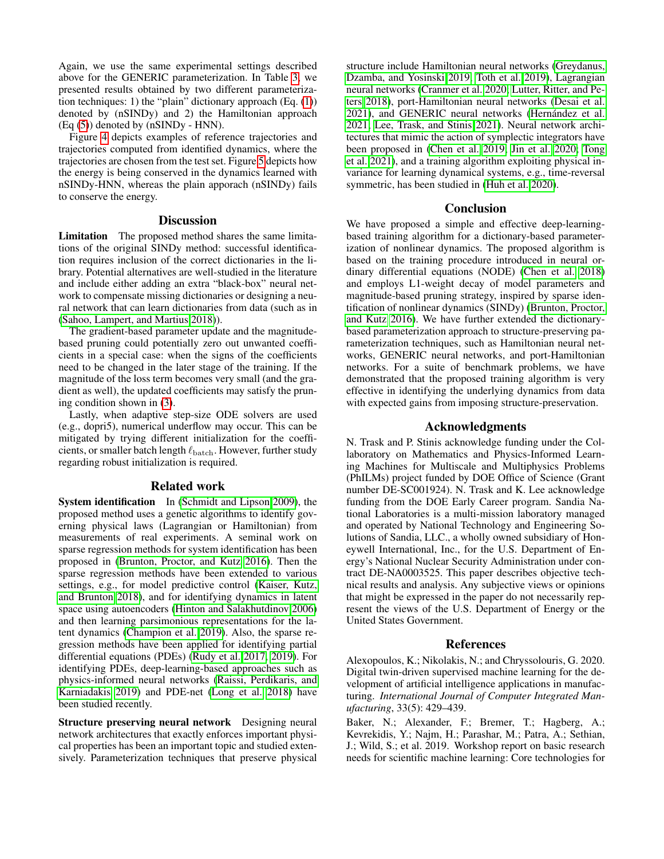Again, we use the same experimental settings described above for the GENERIC parameterization. In Table [3,](#page-5-1) we presented results obtained by two different parameterization techniques: 1) the "plain" dictionary approach (Eq. [\(1\)](#page-1-0)) denoted by (nSINDy) and 2) the Hamiltonian approach (Eq [\(5\)](#page-5-0)) denoted by (nSINDy - HNN).

Figure [4](#page-5-2) depicts examples of reference trajectories and trajectories computed from identified dynamics, where the trajectories are chosen from the test set. Figure [5](#page-5-3) depicts how the energy is being conserved in the dynamics learned with nSINDy-HNN, whereas the plain apporach (nSINDy) fails to conserve the energy.

## **Discussion**

Limitation The proposed method shares the same limitations of the original SINDy method: successful identification requires inclusion of the correct dictionaries in the library. Potential alternatives are well-studied in the literature and include either adding an extra "black-box" neural network to compensate missing dictionaries or designing a neural network that can learn dictionaries from data (such as in [\(Sahoo, Lampert, and Martius 2018\)](#page-8-12)).

The gradient-based parameter update and the magnitudebased pruning could potentially zero out unwanted coefficients in a special case: when the signs of the coefficients need to be changed in the later stage of the training. If the magnitude of the loss term becomes very small (and the gradient as well), the updated coefficients may satisfy the pruning condition shown in [\(3\)](#page-1-2).

Lastly, when adaptive step-size ODE solvers are used (e.g., dopri5), numerical underflow may occur. This can be mitigated by trying different initialization for the coefficients, or smaller batch length  $\ell_{\text{batch}}$ . However, further study regarding robust initialization is required.

#### Related work

System identification In [\(Schmidt and Lipson 2009\)](#page-8-13), the proposed method uses a genetic algorithms to identify governing physical laws (Lagrangian or Hamiltonian) from measurements of real experiments. A seminal work on sparse regression methods for system identification has been proposed in [\(Brunton, Proctor, and Kutz 2016\)](#page-7-18). Then the sparse regression methods have been extended to various settings, e.g., for model predictive control [\(Kaiser, Kutz,](#page-7-26) [and Brunton 2018\)](#page-7-26), and for identifying dynamics in latent space using autoencoders [\(Hinton and Salakhutdinov 2006\)](#page-7-27) and then learning parsimonious representations for the latent dynamics [\(Champion et al. 2019\)](#page-7-28). Also, the sparse regression methods have been applied for identifying partial differential equations (PDEs) [\(Rudy et al. 2017,](#page-8-14) [2019\)](#page-8-15). For identifying PDEs, deep-learning-based approaches such as physics-informed neural networks [\(Raissi, Perdikaris, and](#page-8-16) [Karniadakis 2019\)](#page-8-16) and PDE-net [\(Long et al. 2018\)](#page-7-29) have been studied recently.

Structure preserving neural network Designing neural network architectures that exactly enforces important physical properties has been an important topic and studied extensively. Parameterization techniques that preserve physical structure include Hamiltonian neural networks [\(Greydanus,](#page-7-25) [Dzamba, and Yosinski 2019;](#page-7-25) [Toth et al. 2019\)](#page-8-5), Lagrangian neural networks [\(Cranmer et al. 2020;](#page-7-10) [Lutter, Ritter, and Pe](#page-7-11)[ters 2018\)](#page-7-11), port-Hamiltonian neural networks [\(Desai et al.](#page-7-16) [2021\)](#page-7-16), and GENERIC neural networks (Hernández et al. [2021;](#page-7-17) [Lee, Trask, and Stinis 2021\)](#page-7-7). Neural network architectures that mimic the action of symplectic integrators have been proposed in [\(Chen et al. 2019;](#page-7-12) [Jin et al. 2020;](#page-7-13) [Tong](#page-8-6) [et al. 2021\)](#page-8-6), and a training algorithm exploiting physical invariance for learning dynamical systems, e.g., time-reversal symmetric, has been studied in [\(Huh et al. 2020\)](#page-7-30).

## Conclusion

We have proposed a simple and effective deep-learningbased training algorithm for a dictionary-based parameterization of nonlinear dynamics. The proposed algorithm is based on the training procedure introduced in neural ordinary differential equations (NODE) [\(Chen et al. 2018\)](#page-7-19) and employs L1-weight decay of model parameters and magnitude-based pruning strategy, inspired by sparse identification of nonlinear dynamics (SINDy) [\(Brunton, Proctor,](#page-7-18) [and Kutz 2016\)](#page-7-18). We have further extended the dictionarybased parameterization approach to structure-preserving parameterization techniques, such as Hamiltonian neural networks, GENERIC neural networks, and port-Hamiltonian networks. For a suite of benchmark problems, we have demonstrated that the proposed training algorithm is very effective in identifying the underlying dynamics from data with expected gains from imposing structure-preservation.

## Acknowledgments

N. Trask and P. Stinis acknowledge funding under the Collaboratory on Mathematics and Physics-Informed Learning Machines for Multiscale and Multiphysics Problems (PhILMs) project funded by DOE Office of Science (Grant number DE-SC001924). N. Trask and K. Lee acknowledge funding from the DOE Early Career program. Sandia National Laboratories is a multi-mission laboratory managed and operated by National Technology and Engineering Solutions of Sandia, LLC., a wholly owned subsidiary of Honeywell International, Inc., for the U.S. Department of Energy's National Nuclear Security Administration under contract DE-NA0003525. This paper describes objective technical results and analysis. Any subjective views or opinions that might be expressed in the paper do not necessarily represent the views of the U.S. Department of Energy or the United States Government.

#### References

<span id="page-6-0"></span>Alexopoulos, K.; Nikolakis, N.; and Chryssolouris, G. 2020. Digital twin-driven supervised machine learning for the development of artificial intelligence applications in manufacturing. *International Journal of Computer Integrated Manufacturing*, 33(5): 429–439.

<span id="page-6-1"></span>Baker, N.; Alexander, F.; Bremer, T.; Hagberg, A.; Kevrekidis, Y.; Najm, H.; Parashar, M.; Patra, A.; Sethian, J.; Wild, S.; et al. 2019. Workshop report on basic research needs for scientific machine learning: Core technologies for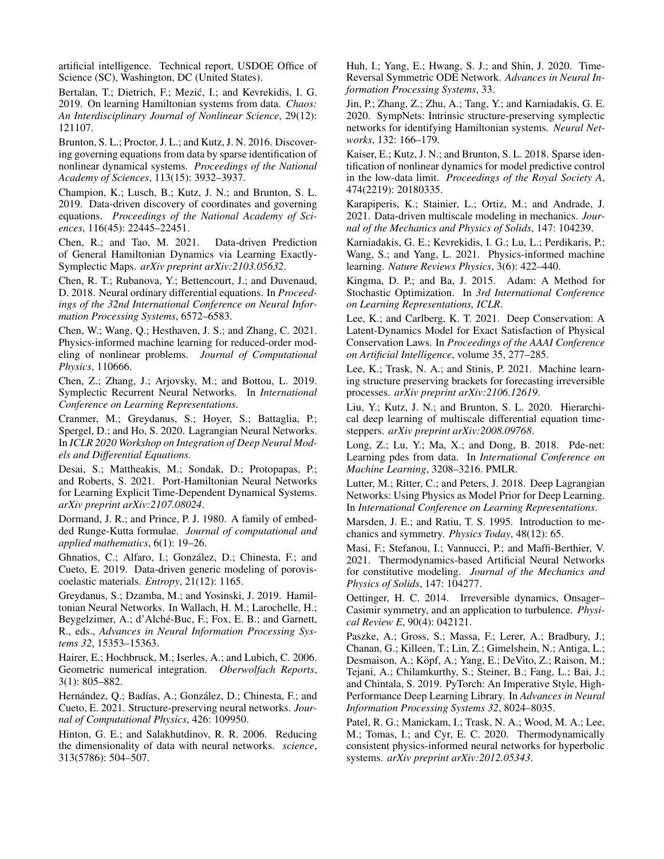artificial intelligence. Technical report, USDOE Office of Science (SC), Washington, DC (United States).

<span id="page-7-15"></span>Bertalan, T.; Dietrich, F.; Mezić, I.; and Kevrekidis, I. G. 2019. On learning Hamiltonian systems from data. *Chaos: An Interdisciplinary Journal of Nonlinear Science*, 29(12): 121107.

<span id="page-7-18"></span>Brunton, S. L.; Proctor, J. L.; and Kutz, J. N. 2016. Discovering governing equations from data by sparse identification of nonlinear dynamical systems. *Proceedings of the National Academy of Sciences*, 113(15): 3932–3937.

<span id="page-7-28"></span>Champion, K.; Lusch, B.; Kutz, J. N.; and Brunton, S. L. 2019. Data-driven discovery of coordinates and governing equations. *Proceedings of the National Academy of Sciences*, 116(45): 22445–22451.

<span id="page-7-14"></span>Chen, R.; and Tao, M. 2021. Data-driven Prediction of General Hamiltonian Dynamics via Learning Exactly-Symplectic Maps. *arXiv preprint arXiv:2103.05632*.

<span id="page-7-19"></span>Chen, R. T.; Rubanova, Y.; Bettencourt, J.; and Duvenaud, D. 2018. Neural ordinary differential equations. In *Proceedings of the 32nd International Conference on Neural Information Processing Systems*, 6572–6583.

<span id="page-7-4"></span>Chen, W.; Wang, Q.; Hesthaven, J. S.; and Zhang, C. 2021. Physics-informed machine learning for reduced-order modeling of nonlinear problems. *Journal of Computational Physics*, 110666.

<span id="page-7-12"></span>Chen, Z.; Zhang, J.; Arjovsky, M.; and Bottou, L. 2019. Symplectic Recurrent Neural Networks. In *International Conference on Learning Representations*.

<span id="page-7-10"></span>Cranmer, M.; Greydanus, S.; Hoyer, S.; Battaglia, P.; Spergel, D.; and Ho, S. 2020. Lagrangian Neural Networks. In *ICLR 2020 Workshop on Integration of Deep Neural Models and Differential Equations*.

<span id="page-7-16"></span>Desai, S.; Mattheakis, M.; Sondak, D.; Protopapas, P.; and Roberts, S. 2021. Port-Hamiltonian Neural Networks for Learning Explicit Time-Dependent Dynamical Systems. *arXiv preprint arXiv:2107.08024*.

<span id="page-7-22"></span>Dormand, J. R.; and Prince, P. J. 1980. A family of embedded Runge-Kutta formulae. *Journal of computational and applied mathematics*, 6(1): 19–26.

<span id="page-7-2"></span>Ghnatios, C.; Alfaro, I.; Gonzalez, D.; Chinesta, F.; and ´ Cueto, E. 2019. Data-driven generic modeling of poroviscoelastic materials. *Entropy*, 21(12): 1165.

<span id="page-7-25"></span>Greydanus, S.; Dzamba, M.; and Yosinski, J. 2019. Hamiltonian Neural Networks. In Wallach, H. M.; Larochelle, H.; Beygelzimer, A.; d'Alché-Buc, F.; Fox, E. B.; and Garnett, R., eds., *Advances in Neural Information Processing Systems 32*, 15353–15363.

<span id="page-7-8"></span>Hairer, E.; Hochbruck, M.; Iserles, A.; and Lubich, C. 2006. Geometric numerical integration. *Oberwolfach Reports*, 3(1): 805–882.

<span id="page-7-17"></span>Hernández, Q.; Badías, A.; González, D.; Chinesta, F.; and Cueto, E. 2021. Structure-preserving neural networks. *Journal of Computational Physics*, 426: 109950.

<span id="page-7-27"></span>Hinton, G. E.; and Salakhutdinov, R. R. 2006. Reducing the dimensionality of data with neural networks. *science*, 313(5786): 504–507.

<span id="page-7-30"></span>Huh, I.; Yang, E.; Hwang, S. J.; and Shin, J. 2020. Time-Reversal Symmetric ODE Network. *Advances in Neural Information Processing Systems*, 33.

<span id="page-7-13"></span>Jin, P.; Zhang, Z.; Zhu, A.; Tang, Y.; and Karniadakis, G. E. 2020. SympNets: Intrinsic structure-preserving symplectic networks for identifying Hamiltonian systems. *Neural Networks*, 132: 166–179.

<span id="page-7-26"></span>Kaiser, E.; Kutz, J. N.; and Brunton, S. L. 2018. Sparse identification of nonlinear dynamics for model predictive control in the low-data limit. *Proceedings of the Royal Society A*, 474(2219): 20180335.

<span id="page-7-1"></span>Karapiperis, K.; Stainier, L.; Ortiz, M.; and Andrade, J. 2021. Data-driven multiscale modeling in mechanics. *Journal of the Mechanics and Physics of Solids*, 147: 104239.

<span id="page-7-6"></span>Karniadakis, G. E.; Kevrekidis, I. G.; Lu, L.; Perdikaris, P.; Wang, S.; and Yang, L. 2021. Physics-informed machine learning. *Nature Reviews Physics*, 3(6): 422–440.

<span id="page-7-21"></span>Kingma, D. P.; and Ba, J. 2015. Adam: A Method for Stochastic Optimization. In *3rd International Conference on Learning Representations, ICLR*.

<span id="page-7-5"></span>Lee, K.; and Carlberg, K. T. 2021. Deep Conservation: A Latent-Dynamics Model for Exact Satisfaction of Physical Conservation Laws. In *Proceedings of the AAAI Conference on Artificial Intelligence*, volume 35, 277–285.

<span id="page-7-7"></span>Lee, K.; Trask, N. A.; and Stinis, P. 2021. Machine learning structure preserving brackets for forecasting irreversible processes. *arXiv preprint arXiv:2106.12619*.

<span id="page-7-23"></span>Liu, Y.; Kutz, J. N.; and Brunton, S. L. 2020. Hierarchical deep learning of multiscale differential equation timesteppers. *arXiv preprint arXiv:2008.09768*.

<span id="page-7-29"></span>Long, Z.; Lu, Y.; Ma, X.; and Dong, B. 2018. Pde-net: Learning pdes from data. In *International Conference on Machine Learning*, 3208–3216. PMLR.

<span id="page-7-11"></span>Lutter, M.; Ritter, C.; and Peters, J. 2018. Deep Lagrangian Networks: Using Physics as Model Prior for Deep Learning. In *International Conference on Learning Representations*.

<span id="page-7-9"></span>Marsden, J. E.; and Ratiu, T. S. 1995. Introduction to mechanics and symmetry. *Physics Today*, 48(12): 65.

<span id="page-7-3"></span>Masi, F.; Stefanou, I.; Vannucci, P.; and Maffi-Berthier, V. 2021. Thermodynamics-based Artificial Neural Networks for constitutive modeling. *Journal of the Mechanics and Physics of Solids*, 147: 104277.

<span id="page-7-24"></span>Oettinger, H. C. 2014. Irreversible dynamics, Onsager– Casimir symmetry, and an application to turbulence. *Physical Review E*, 90(4): 042121.

<span id="page-7-20"></span>Paszke, A.; Gross, S.; Massa, F.; Lerer, A.; Bradbury, J.; Chanan, G.; Killeen, T.; Lin, Z.; Gimelshein, N.; Antiga, L.; Desmaison, A.; Köpf, A.; Yang, E.; DeVito, Z.; Raison, M.; Tejani, A.; Chilamkurthy, S.; Steiner, B.; Fang, L.; Bai, J.; and Chintala, S. 2019. PyTorch: An Imperative Style, High-Performance Deep Learning Library. In *Advances in Neural Information Processing Systems 32*, 8024–8035.

<span id="page-7-0"></span>Patel, R. G.; Manickam, I.; Trask, N. A.; Wood, M. A.; Lee, M.; Tomas, I.; and Cyr, E. C. 2020. Thermodynamically consistent physics-informed neural networks for hyperbolic systems. *arXiv preprint arXiv:2012.05343*.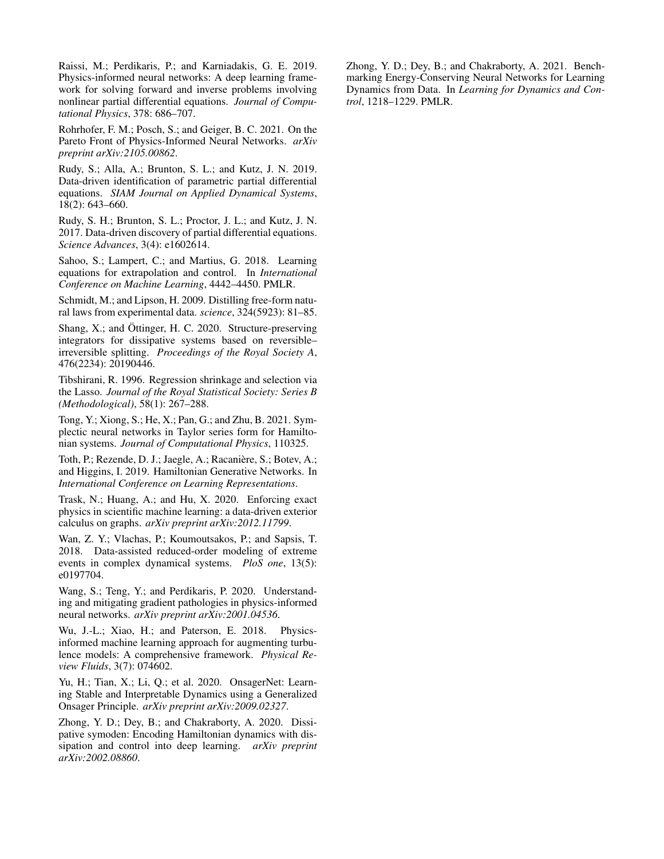<span id="page-8-16"></span>Raissi, M.; Perdikaris, P.; and Karniadakis, G. E. 2019. Physics-informed neural networks: A deep learning framework for solving forward and inverse problems involving nonlinear partial differential equations. *Journal of Computational Physics*, 378: 686–707.

<span id="page-8-4"></span>Rohrhofer, F. M.; Posch, S.; and Geiger, B. C. 2021. On the Pareto Front of Physics-Informed Neural Networks. *arXiv preprint arXiv:2105.00862*.

<span id="page-8-15"></span>Rudy, S.; Alla, A.; Brunton, S. L.; and Kutz, J. N. 2019. Data-driven identification of parametric partial differential equations. *SIAM Journal on Applied Dynamical Systems*, 18(2): 643–660.

<span id="page-8-14"></span>Rudy, S. H.; Brunton, S. L.; Proctor, J. L.; and Kutz, J. N. 2017. Data-driven discovery of partial differential equations. *Science Advances*, 3(4): e1602614.

<span id="page-8-12"></span>Sahoo, S.; Lampert, C.; and Martius, G. 2018. Learning equations for extrapolation and control. In *International Conference on Machine Learning*, 4442–4450. PMLR.

<span id="page-8-13"></span>Schmidt, M.; and Lipson, H. 2009. Distilling free-form natural laws from experimental data. *science*, 324(5923): 81–85.

<span id="page-8-11"></span>Shang, X.; and Öttinger, H. C. 2020. Structure-preserving integrators for dissipative systems based on reversible– irreversible splitting. *Proceedings of the Royal Society A*, 476(2234): 20190446.

<span id="page-8-10"></span>Tibshirani, R. 1996. Regression shrinkage and selection via the Lasso. *Journal of the Royal Statistical Society: Series B (Methodological)*, 58(1): 267–288.

<span id="page-8-6"></span>Tong, Y.; Xiong, S.; He, X.; Pan, G.; and Zhu, B. 2021. Symplectic neural networks in Taylor series form for Hamiltonian systems. *Journal of Computational Physics*, 110325.

<span id="page-8-5"></span>Toth, P.; Rezende, D. J.; Jaegle, A.; Racanière, S.; Botev, A.; and Higgins, I. 2019. Hamiltonian Generative Networks. In *International Conference on Learning Representations*.

<span id="page-8-2"></span>Trask, N.; Huang, A.; and Hu, X. 2020. Enforcing exact physics in scientific machine learning: a data-driven exterior calculus on graphs. *arXiv preprint arXiv:2012.11799*.

<span id="page-8-0"></span>Wan, Z. Y.; Vlachas, P.; Koumoutsakos, P.; and Sapsis, T. 2018. Data-assisted reduced-order modeling of extreme events in complex dynamical systems. *PloS one*, 13(5): e0197704.

<span id="page-8-3"></span>Wang, S.; Teng, Y.; and Perdikaris, P. 2020. Understanding and mitigating gradient pathologies in physics-informed neural networks. *arXiv preprint arXiv:2001.04536*.

<span id="page-8-1"></span>Wu, J.-L.; Xiao, H.; and Paterson, E. 2018. Physicsinformed machine learning approach for augmenting turbulence models: A comprehensive framework. *Physical Review Fluids*, 3(7): 074602.

<span id="page-8-8"></span>Yu, H.; Tian, X.; Li, Q.; et al. 2020. OnsagerNet: Learning Stable and Interpretable Dynamics using a Generalized Onsager Principle. *arXiv preprint arXiv:2009.02327*.

<span id="page-8-9"></span>Zhong, Y. D.; Dey, B.; and Chakraborty, A. 2020. Dissipative symoden: Encoding Hamiltonian dynamics with dissipation and control into deep learning. *arXiv preprint arXiv:2002.08860*.

<span id="page-8-7"></span>Zhong, Y. D.; Dey, B.; and Chakraborty, A. 2021. Benchmarking Energy-Conserving Neural Networks for Learning Dynamics from Data. In *Learning for Dynamics and Control*, 1218–1229. PMLR.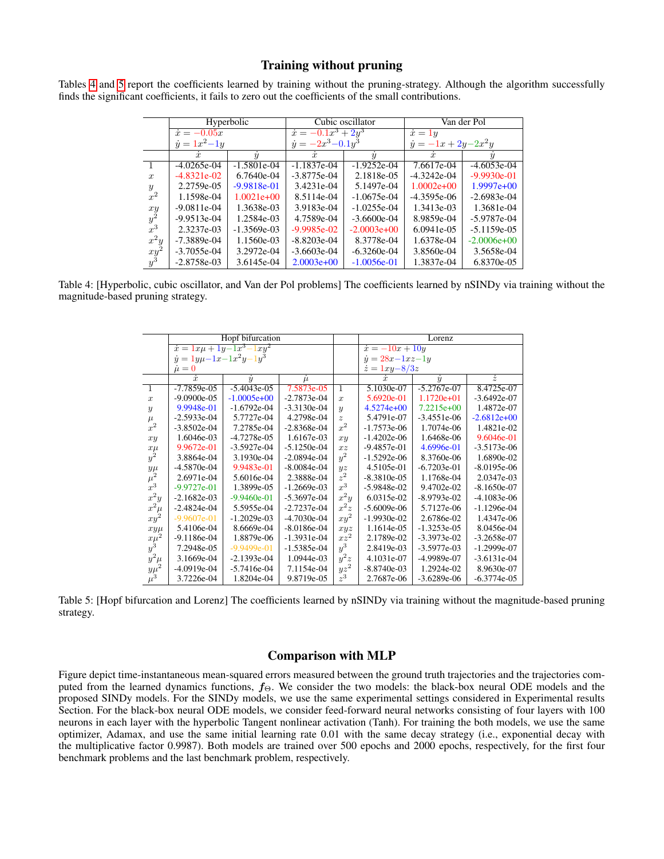## Training without pruning

<span id="page-9-0"></span>Tables [4](#page-9-0) and [5](#page-9-1) report the coefficients learned by training without the pruning-strategy. Although the algorithm successfully finds the significant coefficients, it fails to zero out the coefficients of the small contributions.

|                  | Hyperbolic            |                  |                            | Cubic oscillator | Van der Pol                  |                 |
|------------------|-----------------------|------------------|----------------------------|------------------|------------------------------|-----------------|
|                  | $\dot{x} = -0.05x$    |                  | $\dot{x} = -0.1x^3 + 2y^3$ |                  | $\dot{x} = 1y$               |                 |
|                  | $\dot{y} = 1x^2 - 1y$ |                  | $\dot{y} = -2x^3 - 0.1y^3$ |                  | $\dot{y} = -1x + 2y - 2x^2y$ |                 |
|                  | $\dot{x}$             | $\boldsymbol{u}$ | $\boldsymbol{x}$           | $\boldsymbol{y}$ | $\dot{x}$                    |                 |
|                  | $-4.0265e-04$         | $-1.5801e-04$    | $-1.1837e-04$              | $-1.9252e-04$    | 7.6617e-04                   | $-4.6053e-04$   |
| $\boldsymbol{x}$ | $-4.8321e-02$         | $6.7640e-04$     | $-3.8775e-04$              | 2.1818e-05       | $-4.3242e-04$                | $-9.9930e-01$   |
| $\mathcal{Y}$    | 2.2759e-05            | $-9.9818e-01$    | 3.4231e-04                 | 5.1497e-04       | $1.0002e+00$                 | $1.9997e+00$    |
| $x^2$            | 1.1598e-04            | $1.0021e+00$     | 8.5114e-04                 | $-1.0675e-04$    | $-4.3595e-06$                | $-2.6983e-04$   |
| xy               | $-9.0811e-04$         | 1.3638e-03       | 3.9183e-04                 | $-1.0255e-04$    | 1.3413e-03                   | 1.3681e-04      |
| $y^2$            | $-9.9513e-04$         | 1.2584e-03       | 4.7589e-04                 | $-3.6600e-04$    | 8.9859e-04                   | $-5.9787e-04$   |
| $x^3$            | 2.3237e-03            | $-1.3569e-03$    | $-9.9985e-02$              | $-2.0003e+00$    | $6.0941e-0.5$                | $-5.1159e-05$   |
| $x^2y$           | $-7.3889e-04$         | 1.1560e-03       | $-8.8203e-04$              | 8.3778e-04       | 1.6378e-04                   | $-2.0006e + 00$ |
| $xy^2$           | $-3.7055e-04$         | 3.2972e-04       | $-3.6603e-04$              | $-6.3260e-04$    | 3.8560e-04                   | 3.5658e-04      |
| $y^3$            | $-2.8758e-03$         | 3.6145e-04       | $2.0003e+00$               | $-1.0056e-01$    | 1.3837e-04                   | 6.8370e-05      |

<span id="page-9-1"></span>Table 4: [Hyperbolic, cubic oscillator, and Van der Pol problems] The coefficients learned by nSINDy via training without the magnitude-based pruning strategy.

|                                                   | Hopf bifurcation                      |               |               |                | Lorenz                     |               |               |
|---------------------------------------------------|---------------------------------------|---------------|---------------|----------------|----------------------------|---------------|---------------|
|                                                   | $\dot{x} = 1x\mu + 1y - 1x^3 - 1xy^2$ |               |               |                | $\dot{x} = -10x + 10y$     |               |               |
|                                                   | $\dot{y} = 1y\mu - 1x - 1x^2y - 1y^3$ |               |               |                | $\dot{y} = 28x - 1xz - 1y$ |               |               |
|                                                   | $\dot{\mu}=0$                         |               |               |                | $\dot{z} = 1xy - 8/3z$     |               |               |
|                                                   | $\dot{x}$                             | $\dot{y}$     | $\mu$         |                | ż.                         | $\dot{y}$     | $\dot{z}$     |
| $\overline{1}$                                    | $-7.7859e-05$                         | $-5.4043e-05$ | 7.5873e-05    | 1              | 5.1030e-07                 | $-5.2767e-07$ | 8.4725e-07    |
| $\boldsymbol{x}$                                  | $-9.0900e-05$                         | $-1.0005e+00$ | $-2.7873e-04$ | $\overline{x}$ | 5.6920e-01                 | $1.1720e+01$  | $-3.6492e-07$ |
| $\boldsymbol{y}$                                  | 9.9948e-01                            | $-1.6792e-04$ | $-3.3130e-04$ | $\overline{y}$ | $4.5274e+00$               | $7.2215e+00$  | 1.4872e-07    |
| $\mu$                                             | $-2.5933e-04$                         | 5.7727e-04    | 4.2798e-04    | $\tilde{z}$    | 5.4791e-07                 | $-3.4551e-06$ | $-2.6812e+00$ |
| $x^2$                                             | $-3.8502e-04$                         | 7.2785e-04    | $-2.8368e-04$ | $x^2$          | $-1.7573e-06$              | 1.7074e-06    | 1.4821e-02    |
| xy                                                | 1.6046e-03                            | $-4.7278e-05$ | 1.6167e-03    | xy             | $-1.4202e-06$              | 1.6468e-06    | 9.6046e-01    |
|                                                   | 9.9672e-01                            | $-3.5927e-04$ | $-5.1250e-04$ | xz             | $-9.4857e-01$              | 4.6996e-01    | $-3.5173e-06$ |
| $\frac{x\mu}{y^2}$                                | 3.8864e-04                            | 3.1930e-04    | $-2.0894e-04$ | $y^2$          | $-1.5292e-06$              | 8.3760e-06    | 1.6890e-02    |
|                                                   | $-4.5870e-04$                         | 9.9483e-01    | $-8.0084e-04$ | yz             | 4.5105e-01                 | $-6.7203e-01$ | $-8.0195e-06$ |
| $\frac{y\mu}{\mu^2}$ $x^3$                        | 2.6971e-04                            | 5.6016e-04    | 2.3888e-04    | $z^2$          | $-8.3810e-05$              | 1.1768e-04    | 2.0347e-03    |
|                                                   | $-9.9727e-01$                         | 1.3899e-05    | $-1.2669e-03$ | $x^3$          | $-5.9848e-02$              | 9.4702e-02    | $-8.1650e-07$ |
| $x^2y$                                            | $-2.1682e-03$                         | $-9.9460e-01$ | $-5.3697e-04$ | $x^2y$         | 6.0315e-02                 | $-8.9793e-02$ | $-4.1083e-06$ |
| $x^2\mu$                                          | $-2.4824e-04$                         | 5.5955e-04    | $-2.7237e-04$ | $x^2z$         | $-5.6009e-06$              | 5.7127e-06    | $-1.1296e-04$ |
| $xy^2$                                            | $-9.9607e-01$                         | $-1.2029e-03$ | $-4.7030e-04$ | $xy^2$         | $-1.9930e-02$              | 2.6786e-02    | 1.4347e-06    |
| $xy\mu$                                           | 5.4106e-04                            | 8.6669e-04    | $-8.0186e-04$ | xyz            | 1.1614e-05                 | $-1.3253e-05$ | 8.0456e-04    |
|                                                   | $-9.1186e-04$                         | 1.8879e-06    | $-1.3931e-04$ | $xz^2$         | 2.1789e-02                 | $-3.3973e-02$ | $-3.2658e-07$ |
| $\begin{array}{c}\n x \mu^2 \\ y^3\n \end{array}$ | 7.2948e-05                            | $-9.9499e-01$ | $-1.5385e-04$ | $y^3$          | 2.8419e-03                 | $-3.5977e-03$ | $-1.2999e-07$ |
|                                                   | 3.1669e-04                            | $-2.1393e-04$ | 1.0944e-03    | $y^2z$         | 4.1031e-07                 | -4.9989e-07   | $-3.6131e-04$ |
|                                                   | $-4.0919e-04$                         | $-5.7416e-04$ | 7.1154e-04    | $yz^2$         | $-8.8740e-03$              | 1.2924e-02    | 8.9630e-07    |
| $\frac{y^2\mu}{y\mu^2}$                           | 3.7226e-04                            | 1.8204e-04    | 9.8719e-05    | $z^3$          | 2.7687e-06                 | $-3.6289e-06$ | $-6.3774e-05$ |

Table 5: [Hopf bifurcation and Lorenz] The coefficients learned by nSINDy via training without the magnitude-based pruning strategy.

## Comparison with MLP

Figure depict time-instantaneous mean-squared errors measured between the ground truth trajectories and the trajectories computed from the learned dynamics functions,  $f_{\Theta}$ . We consider the two models: the black-box neural ODE models and the proposed SINDy models. For the SINDy models, we use the same experimental settings considered in Experimental results Section. For the black-box neural ODE models, we consider feed-forward neural networks consisting of four layers with 100 neurons in each layer with the hyperbolic Tangent nonlinear activation (Tanh). For training the both models, we use the same optimizer, Adamax, and use the same initial learning rate 0.01 with the same decay strategy (i.e., exponential decay with the multiplicative factor 0.9987). Both models are trained over 500 epochs and 2000 epochs, respectively, for the first four benchmark problems and the last benchmark problem, respectively.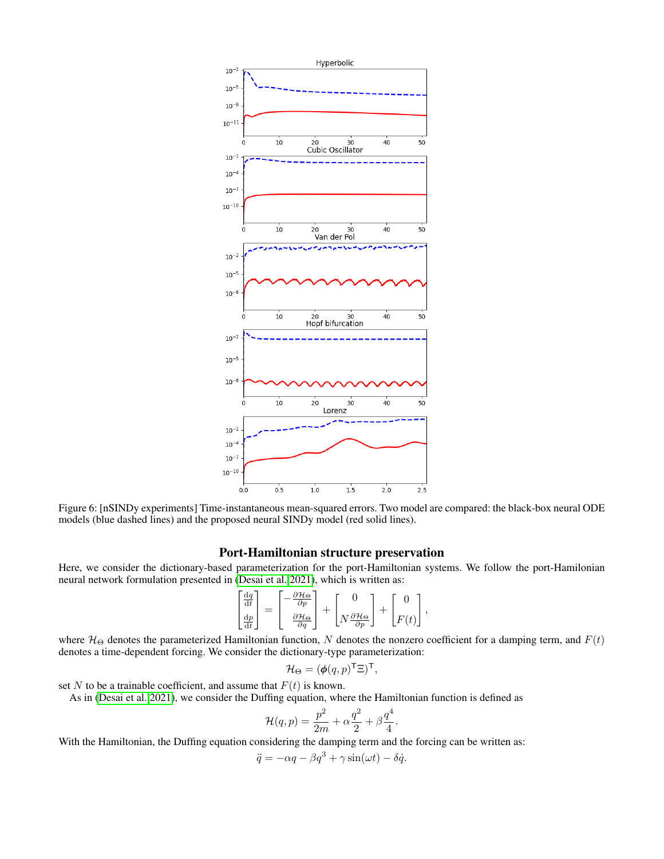

Figure 6: [nSINDy experiments] Time-instantaneous mean-squared errors. Two model are compared: the black-box neural ODE models (blue dashed lines) and the proposed neural SINDy model (red solid lines).

## Port-Hamiltonian structure preservation

Here, we consider the dictionary-based parameterization for the port-Hamiltonian systems. We follow the port-Hamilonian neural network formulation presented in [\(Desai et al. 2021\)](#page-7-16), which is written as:

$$
\begin{bmatrix} \frac{\mathrm{d}q}{\mathrm{d}t} \\ \frac{\mathrm{d}p}{\mathrm{d}t} \end{bmatrix} = \begin{bmatrix} -\frac{\partial \mathcal{H}_{\Theta}}{\partial p} \\ \frac{\partial \mathcal{H}_{\Theta}}{\partial q} \end{bmatrix} + \begin{bmatrix} 0 \\ N \frac{\partial \mathcal{H}_{\Theta}}{\partial p} \end{bmatrix} + \begin{bmatrix} 0 \\ F(t) \end{bmatrix},
$$

where  $\mathcal{H}_{\Theta}$  denotes the parameterized Hamiltonian function, N denotes the nonzero coefficient for a damping term, and  $F(t)$ denotes a time-dependent forcing. We consider the dictionary-type parameterization:

$$
\mathcal{H}_{\Theta} = (\pmb{\phi}(q, p)^{\mathsf{T}} \Xi)^{\mathsf{T}},
$$

set N to be a trainable coefficient, and assume that  $F(t)$  is known.

As in [\(Desai et al. 2021\)](#page-7-16), we consider the Duffing equation, where the Hamiltonian function is defined as

 $\mathbf{r}$ 

$$
\mathcal{H}(q,p) = \frac{p^2}{2m} + \alpha \frac{q^2}{2} + \beta \frac{q^4}{4}
$$

.

With the Hamiltonian, the Duffing equation considering the damping term and the forcing can be written as:

$$
\ddot{q} = -\alpha q - \beta q^3 + \gamma \sin(\omega t) - \delta \dot{q}.
$$